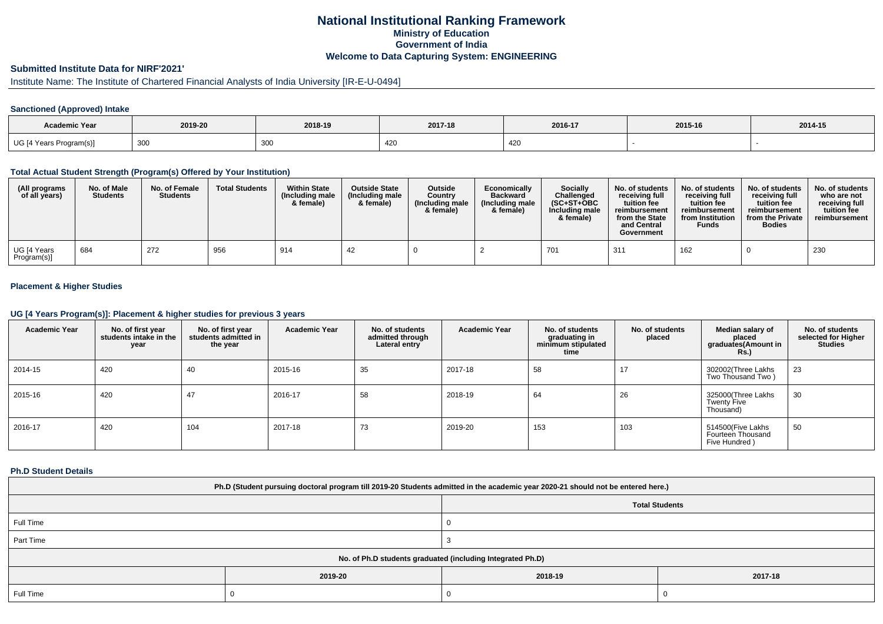## **National Institutional Ranking FrameworkMinistry of Education Government of IndiaWelcome to Data Capturing System: ENGINEERING**

# **Submitted Institute Data for NIRF'2021'**

# Institute Name: The Institute of Chartered Financial Analysts of India University [IR-E-U-0494]

### **Sanctioned (Approved) Intake**

| Academic Year           | 2019-20 | 2018-19 | 2017-18          | 2016-17                | 2015-16 | 2014-15 |
|-------------------------|---------|---------|------------------|------------------------|---------|---------|
| UG [4 Years Program(s)] | 300     | 300     | $\sqrt{2}$<br>−∼ | 10 <sup>o</sup><br>42J |         |         |

### **Total Actual Student Strength (Program(s) Offered by Your Institution)**

| (All programs<br>of all years) | No. of Male<br><b>Students</b> | No. of Female<br><b>Students</b> | <b>Total Students</b> | <b>Within State</b><br>(Including male<br>& female) | <b>Outside State</b><br>(Including male<br>& female) | <b>Outside</b><br>Country<br>(Including male<br>& female) | Economically<br><b>Backward</b><br>(Including male<br>& female) | Socially<br>Challenged<br>$(SC+ST+OBC$<br>Including male<br>& female) | No. of students<br>receiving full<br>tuition fee<br>reimbursement<br>from the State<br>and Central<br>Government | No. of students<br>receiving full<br>tuition fee<br>reimbursement<br>from Institution<br><b>Funds</b> | No. of students<br>receiving full<br>tuition fee<br>reimbursement<br>from the Private<br><b>Bodies</b> | No. of students<br>who are not<br>receiving full<br>tuition fee<br>reimbursement |
|--------------------------------|--------------------------------|----------------------------------|-----------------------|-----------------------------------------------------|------------------------------------------------------|-----------------------------------------------------------|-----------------------------------------------------------------|-----------------------------------------------------------------------|------------------------------------------------------------------------------------------------------------------|-------------------------------------------------------------------------------------------------------|--------------------------------------------------------------------------------------------------------|----------------------------------------------------------------------------------|
| UG [4 Years<br>Program(s)]     | 684                            | 272                              | 956                   | 914                                                 | 42                                                   |                                                           |                                                                 | 701                                                                   | 31'                                                                                                              | 162                                                                                                   |                                                                                                        | 230                                                                              |

### **Placement & Higher Studies**

### **UG [4 Years Program(s)]: Placement & higher studies for previous 3 years**

| <b>Academic Year</b> | No. of first year<br>students intake in the<br>year | No. of first vear<br>students admitted in<br>the year | <b>Academic Year</b> | No. of students<br>admitted through<br>Lateral entry | <b>Academic Year</b> | No. of students<br>graduating in<br>minimum stipulated<br>time | No. of students<br>placed | Median salary of<br>placed<br>graduates(Amount in<br><b>Rs.)</b> | No. of students<br>selected for Higher<br><b>Studies</b> |
|----------------------|-----------------------------------------------------|-------------------------------------------------------|----------------------|------------------------------------------------------|----------------------|----------------------------------------------------------------|---------------------------|------------------------------------------------------------------|----------------------------------------------------------|
| 2014-15              | 420                                                 | 40                                                    | 2015-16              | 35                                                   | 2017-18              | 58                                                             | 17                        | 302002(Three Lakhs<br>Two Thousand Two)                          | 23                                                       |
| 2015-16              | 420                                                 | 47                                                    | 2016-17              | 58                                                   | 2018-19              | 64                                                             | 26                        | 325000(Three Lakhs<br><b>Twenty Five</b><br>Thousand)            | 30                                                       |
| 2016-17              | 420                                                 | 104                                                   | 2017-18              | 73                                                   | 2019-20              | 153                                                            | 103                       | 514500(Five Lakhs<br>Fourteen Thousand<br>Five Hundred)          | 50                                                       |

### **Ph.D Student Details**

| Ph.D (Student pursuing doctoral program till 2019-20 Students admitted in the academic year 2020-21 should not be entered here.) |                                                            |                       |         |  |  |  |  |  |
|----------------------------------------------------------------------------------------------------------------------------------|------------------------------------------------------------|-----------------------|---------|--|--|--|--|--|
|                                                                                                                                  |                                                            | <b>Total Students</b> |         |  |  |  |  |  |
| Full Time                                                                                                                        |                                                            |                       |         |  |  |  |  |  |
| Part Time                                                                                                                        |                                                            |                       |         |  |  |  |  |  |
|                                                                                                                                  | No. of Ph.D students graduated (including Integrated Ph.D) |                       |         |  |  |  |  |  |
|                                                                                                                                  | 2019-20                                                    | 2018-19               | 2017-18 |  |  |  |  |  |
| Full Time                                                                                                                        |                                                            |                       |         |  |  |  |  |  |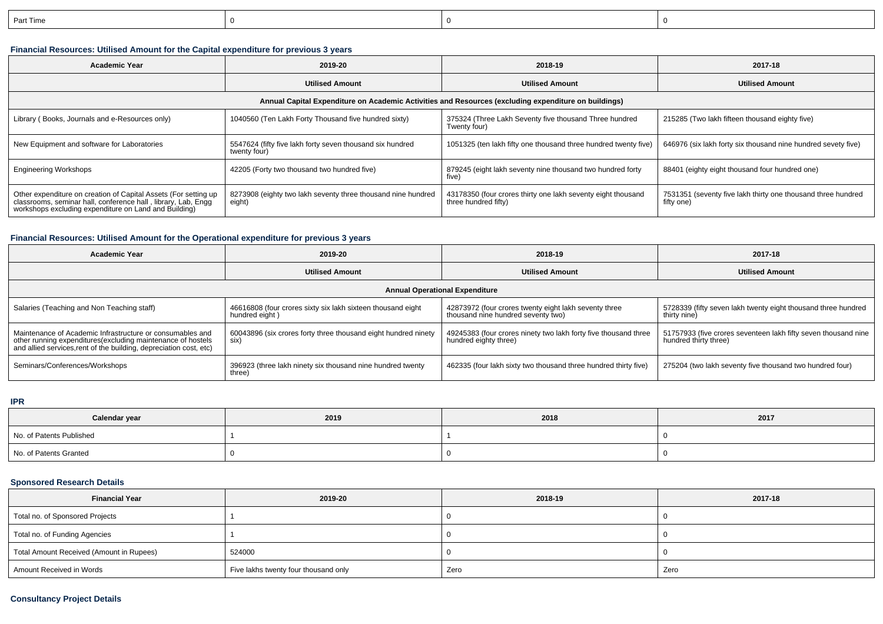| n-<br>t lime |  |  |
|--------------|--|--|
|              |  |  |

## **Financial Resources: Utilised Amount for the Capital expenditure for previous 3 years**

| <b>Academic Year</b>                                                                                                                                                                      | 2019-20                                                                   | 2018-19                                                                              | 2017-18                                                                    |  |  |  |  |  |  |
|-------------------------------------------------------------------------------------------------------------------------------------------------------------------------------------------|---------------------------------------------------------------------------|--------------------------------------------------------------------------------------|----------------------------------------------------------------------------|--|--|--|--|--|--|
|                                                                                                                                                                                           | <b>Utilised Amount</b>                                                    | <b>Utilised Amount</b>                                                               | <b>Utilised Amount</b>                                                     |  |  |  |  |  |  |
| Annual Capital Expenditure on Academic Activities and Resources (excluding expenditure on buildings)                                                                                      |                                                                           |                                                                                      |                                                                            |  |  |  |  |  |  |
| Library (Books, Journals and e-Resources only)                                                                                                                                            | 1040560 (Ten Lakh Forty Thousand five hundred sixty)                      | 375324 (Three Lakh Seventy five thousand Three hundred<br>Twenty four)               | 215285 (Two lakh fifteen thousand eighty five)                             |  |  |  |  |  |  |
| New Equipment and software for Laboratories                                                                                                                                               | 5547624 (fifty five lakh forty seven thousand six hundred<br>twenty four) | 1051325 (ten lakh fifty one thousand three hundred twenty five)                      | 646976 (six lakh forty six thousand nine hundred sevety five)              |  |  |  |  |  |  |
| <b>Engineering Workshops</b>                                                                                                                                                              | 42205 (Forty two thousand two hundred five)                               | 879245 (eight lakh seventy nine thousand two hundred forty<br>five)                  | 88401 (eighty eight thousand four hundred one)                             |  |  |  |  |  |  |
| Other expenditure on creation of Capital Assets (For setting up<br>classrooms, seminar hall, conference hall, library, Lab, Engg<br>workshops excluding expenditure on Land and Building) | 8273908 (eighty two lakh seventy three thousand nine hundred<br>eight)    | 43178350 (four crores thirty one lakh seventy eight thousand<br>three hundred fifty) | 7531351 (seventy five lakh thirty one thousand three hundred<br>fifty one) |  |  |  |  |  |  |

## **Financial Resources: Utilised Amount for the Operational expenditure for previous 3 years**

| <b>Academic Year</b>                                                                                                                                                                            | 2019-20                                                                       | 2018-19                                                                                     | 2017-18                                                                                 |  |  |  |  |  |  |
|-------------------------------------------------------------------------------------------------------------------------------------------------------------------------------------------------|-------------------------------------------------------------------------------|---------------------------------------------------------------------------------------------|-----------------------------------------------------------------------------------------|--|--|--|--|--|--|
|                                                                                                                                                                                                 | <b>Utilised Amount</b>                                                        | <b>Utilised Amount</b>                                                                      | <b>Utilised Amount</b>                                                                  |  |  |  |  |  |  |
| <b>Annual Operational Expenditure</b>                                                                                                                                                           |                                                                               |                                                                                             |                                                                                         |  |  |  |  |  |  |
| Salaries (Teaching and Non Teaching staff)                                                                                                                                                      | 46616808 (four crores sixty six lakh sixteen thousand eight<br>hundred eight) | 42873972 (four crores twenty eight lakh seventy three<br>thousand nine hundred seventy two) | 5728339 (fifty seven lakh twenty eight thousand three hundred<br>thirty nine)           |  |  |  |  |  |  |
| Maintenance of Academic Infrastructure or consumables and<br>other running expenditures (excluding maintenance of hostels<br>and allied services, rent of the building, depreciation cost, etc) | 60043896 (six crores forty three thousand eight hundred ninety<br>six)        | 49245383 (four crores ninety two lakh forty five thousand three<br>hundred eighty three)    | 51757933 (five crores seventeen lakh fifty seven thousand nine<br>hundred thirty three) |  |  |  |  |  |  |
| Seminars/Conferences/Workshops                                                                                                                                                                  | 396923 (three lakh ninety six thousand nine hundred twenty<br>three)          | 462335 (four lakh sixty two thousand three hundred thirty five)                             | 275204 (two lakh seventy five thousand two hundred four)                                |  |  |  |  |  |  |

#### **IPR**

| Calendar year            | 2019 | 2018 | 2017 |
|--------------------------|------|------|------|
| No. of Patents Published |      |      |      |
| No. of Patents Granted   |      |      |      |

## **Sponsored Research Details**

| <b>Financial Year</b>                    | 2019-20                              | 2018-19 | 2017-18 |
|------------------------------------------|--------------------------------------|---------|---------|
| Total no. of Sponsored Projects          |                                      |         |         |
| Total no. of Funding Agencies            |                                      |         |         |
| Total Amount Received (Amount in Rupees) | 524000                               |         |         |
| Amount Received in Words                 | Five lakhs twenty four thousand only | Zero    | Zero    |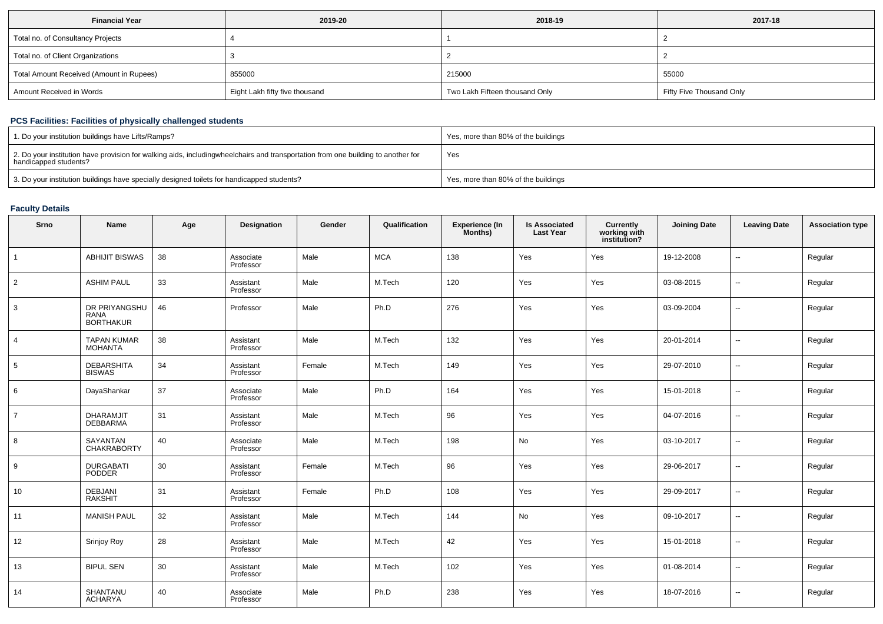| <b>Financial Year</b>                    | 2019-20                        | 2018-19                        | 2017-18                  |
|------------------------------------------|--------------------------------|--------------------------------|--------------------------|
| Total no. of Consultancy Projects        |                                |                                |                          |
| Total no. of Client Organizations        |                                |                                |                          |
| Total Amount Received (Amount in Rupees) | 855000                         | 215000                         | 55000                    |
| Amount Received in Words                 | Eight Lakh fifty five thousand | Two Lakh Fifteen thousand Only | Fifty Five Thousand Only |

## **PCS Facilities: Facilities of physically challenged students**

| 1. Do your institution buildings have Lifts/Ramps?                                                                                                        | Yes, more than 80% of the buildings |
|-----------------------------------------------------------------------------------------------------------------------------------------------------------|-------------------------------------|
| 2. Do your institution have provision for walking aids, includingwheelchairs and transportation from one building to another for<br>handicapped students? | Yes                                 |
| 3. Do your institution buildings have specially designed toilets for handicapped students?                                                                | Yes, more than 80% of the buildings |

### **Faculty Details**

| Srno            | Name                                             | Age | Designation            | Gender | Qualification | Experience (In<br>Months) | <b>Is Associated</b><br><b>Last Year</b> | <b>Currently</b><br>working with<br>institution? | <b>Joining Date</b> | <b>Leaving Date</b>      | <b>Association type</b> |
|-----------------|--------------------------------------------------|-----|------------------------|--------|---------------|---------------------------|------------------------------------------|--------------------------------------------------|---------------------|--------------------------|-------------------------|
| $\overline{1}$  | <b>ABHIJIT BISWAS</b>                            | 38  | Associate<br>Professor | Male   | <b>MCA</b>    | 138                       | Yes                                      | Yes                                              | 19-12-2008          | --                       | Regular                 |
| $\overline{2}$  | <b>ASHIM PAUL</b>                                | 33  | Assistant<br>Professor | Male   | M.Tech        | 120                       | Yes                                      | Yes                                              | 03-08-2015          | --                       | Regular                 |
| 3               | DR PRIYANGSHU<br><b>RANA</b><br><b>BORTHAKUR</b> | 46  | Professor              | Male   | Ph.D          | 276                       | Yes                                      | Yes                                              | 03-09-2004          | --                       | Regular                 |
| $\overline{4}$  | <b>TAPAN KUMAR</b><br><b>MOHANTA</b>             | 38  | Assistant<br>Professor | Male   | M.Tech        | 132                       | Yes                                      | Yes                                              | 20-01-2014          | $\overline{\phantom{a}}$ | Regular                 |
| $5\overline{)}$ | <b>DEBARSHITA</b><br><b>BISWAS</b>               | 34  | Assistant<br>Professor | Female | M.Tech        | 149                       | Yes                                      | Yes                                              | 29-07-2010          | --                       | Regular                 |
| 6               | DayaShankar                                      | 37  | Associate<br>Professor | Male   | Ph.D          | 164                       | Yes                                      | Yes                                              | 15-01-2018          | ۰.                       | Regular                 |
| $\overline{7}$  | DHARAMJIT<br><b>DEBBARMA</b>                     | 31  | Assistant<br>Professor | Male   | M.Tech        | 96                        | Yes                                      | Yes                                              | 04-07-2016          | $\overline{\phantom{a}}$ | Regular                 |
| 8               | SAYANTAN<br><b>CHAKRABORTY</b>                   | 40  | Associate<br>Professor | Male   | M.Tech        | 198                       | No                                       | Yes                                              | 03-10-2017          | $\overline{\phantom{a}}$ | Regular                 |
| 9               | <b>DURGABATI</b><br>PODDER                       | 30  | Assistant<br>Professor | Female | M.Tech        | 96                        | Yes                                      | Yes                                              | 29-06-2017          | н.                       | Regular                 |
| 10              | <b>DEBJANI</b><br><b>RAKSHIT</b>                 | 31  | Assistant<br>Professor | Female | Ph.D          | 108                       | Yes                                      | Yes                                              | 29-09-2017          | --                       | Regular                 |
| 11              | <b>MANISH PAUL</b>                               | 32  | Assistant<br>Professor | Male   | M.Tech        | 144                       | No                                       | Yes                                              | 09-10-2017          | ۰.                       | Regular                 |
| 12              | Srinjoy Roy                                      | 28  | Assistant<br>Professor | Male   | M.Tech        | 42                        | Yes                                      | Yes                                              | 15-01-2018          | --                       | Regular                 |
| 13              | <b>BIPUL SEN</b>                                 | 30  | Assistant<br>Professor | Male   | M.Tech        | 102                       | Yes                                      | Yes                                              | 01-08-2014          | $\overline{\phantom{a}}$ | Regular                 |
| 14              | SHANTANU<br><b>ACHARYA</b>                       | 40  | Associate<br>Professor | Male   | Ph.D          | 238                       | Yes                                      | Yes                                              | 18-07-2016          | $\overline{\phantom{a}}$ | Regular                 |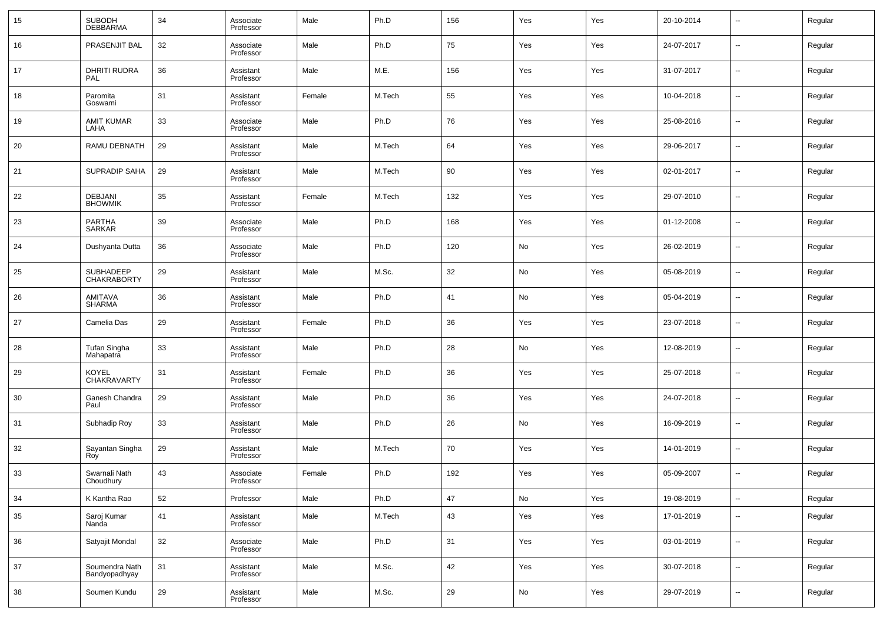| 15 | <b>SUBODH</b><br><b>DEBBARMA</b> | 34 | Associate<br>Professor | Male   | Ph.D   | 156    | Yes | Yes | 20-10-2014 | $\overline{\phantom{a}}$ | Regular |
|----|----------------------------------|----|------------------------|--------|--------|--------|-----|-----|------------|--------------------------|---------|
| 16 | PRASENJIT BAL                    | 32 | Associate<br>Professor | Male   | Ph.D   | 75     | Yes | Yes | 24-07-2017 | $\overline{\phantom{a}}$ | Regular |
| 17 | <b>DHRITI RUDRA</b><br>PAL       | 36 | Assistant<br>Professor | Male   | M.E.   | 156    | Yes | Yes | 31-07-2017 | $\ddotsc$                | Regular |
| 18 | Paromita<br>Goswami              | 31 | Assistant<br>Professor | Female | M.Tech | 55     | Yes | Yes | 10-04-2018 | $\overline{\phantom{a}}$ | Regular |
| 19 | <b>AMIT KUMAR</b><br>LAHA        | 33 | Associate<br>Professor | Male   | Ph.D   | 76     | Yes | Yes | 25-08-2016 | $\overline{\phantom{a}}$ | Regular |
| 20 | RAMU DEBNATH                     | 29 | Assistant<br>Professor | Male   | M.Tech | 64     | Yes | Yes | 29-06-2017 | $\overline{\phantom{a}}$ | Regular |
| 21 | SUPRADIP SAHA                    | 29 | Assistant<br>Professor | Male   | M.Tech | 90     | Yes | Yes | 02-01-2017 | $\overline{\phantom{a}}$ | Regular |
| 22 | DEBJANI<br><b>BHOWMIK</b>        | 35 | Assistant<br>Professor | Female | M.Tech | 132    | Yes | Yes | 29-07-2010 | $\overline{\phantom{a}}$ | Regular |
| 23 | <b>PARTHA</b><br><b>SARKAR</b>   | 39 | Associate<br>Professor | Male   | Ph.D   | 168    | Yes | Yes | 01-12-2008 | $\overline{\phantom{a}}$ | Regular |
| 24 | Dushyanta Dutta                  | 36 | Associate<br>Professor | Male   | Ph.D   | 120    | No  | Yes | 26-02-2019 | $\overline{\phantom{a}}$ | Regular |
| 25 | SUBHADEEP<br><b>CHAKRABORTY</b>  | 29 | Assistant<br>Professor | Male   | M.Sc.  | 32     | No  | Yes | 05-08-2019 | $\overline{\phantom{a}}$ | Regular |
| 26 | AMITAVA<br><b>SHARMA</b>         | 36 | Assistant<br>Professor | Male   | Ph.D   | 41     | No  | Yes | 05-04-2019 | $\overline{\phantom{a}}$ | Regular |
| 27 | Camelia Das                      | 29 | Assistant<br>Professor | Female | Ph.D   | 36     | Yes | Yes | 23-07-2018 | $\overline{\phantom{a}}$ | Regular |
| 28 | Tufan Singha<br>Mahapatra        | 33 | Assistant<br>Professor | Male   | Ph.D   | 28     | No  | Yes | 12-08-2019 | $\overline{\phantom{a}}$ | Regular |
| 29 | KOYEL<br>CHAKRAVARTY             | 31 | Assistant<br>Professor | Female | Ph.D   | 36     | Yes | Yes | 25-07-2018 | $\overline{\phantom{a}}$ | Regular |
| 30 | Ganesh Chandra<br>Paul           | 29 | Assistant<br>Professor | Male   | Ph.D   | 36     | Yes | Yes | 24-07-2018 | $\overline{\phantom{a}}$ | Regular |
| 31 | Subhadip Roy                     | 33 | Assistant<br>Professor | Male   | Ph.D   | 26     | No  | Yes | 16-09-2019 | $\overline{\phantom{a}}$ | Regular |
| 32 | Sayantan Singha<br>Roy           | 29 | Assistant<br>Professor | Male   | M.Tech | 70     | Yes | Yes | 14-01-2019 | $\overline{\phantom{a}}$ | Regular |
| 33 | Swarnali Nath<br>Choudhury       | 43 | Associate<br>Professor | Female | Ph.D   | 192    | Yes | Yes | 05-09-2007 | $\overline{\phantom{a}}$ | Regular |
| 34 | K Kantha Rao                     | 52 | Professor              | Male   | Ph.D   | 47     | No  | Yes | 19-08-2019 | $\sim$                   | Regular |
| 35 | Saroj Kumar<br>Nanda             | 41 | Assistant<br>Professor | Male   | M.Tech | 43     | Yes | Yes | 17-01-2019 | $\overline{\phantom{a}}$ | Regular |
| 36 | Satyajit Mondal                  | 32 | Associate<br>Professor | Male   | Ph.D   | 31     | Yes | Yes | 03-01-2019 | $\sim$                   | Regular |
| 37 | Soumendra Nath<br>Bandyopadhyay  | 31 | Assistant<br>Professor | Male   | M.Sc.  | 42     | Yes | Yes | 30-07-2018 | $\sim$                   | Regular |
| 38 | Soumen Kundu                     | 29 | Assistant<br>Professor | Male   | M.Sc.  | $29\,$ | No  | Yes | 29-07-2019 | $\overline{\phantom{a}}$ | Regular |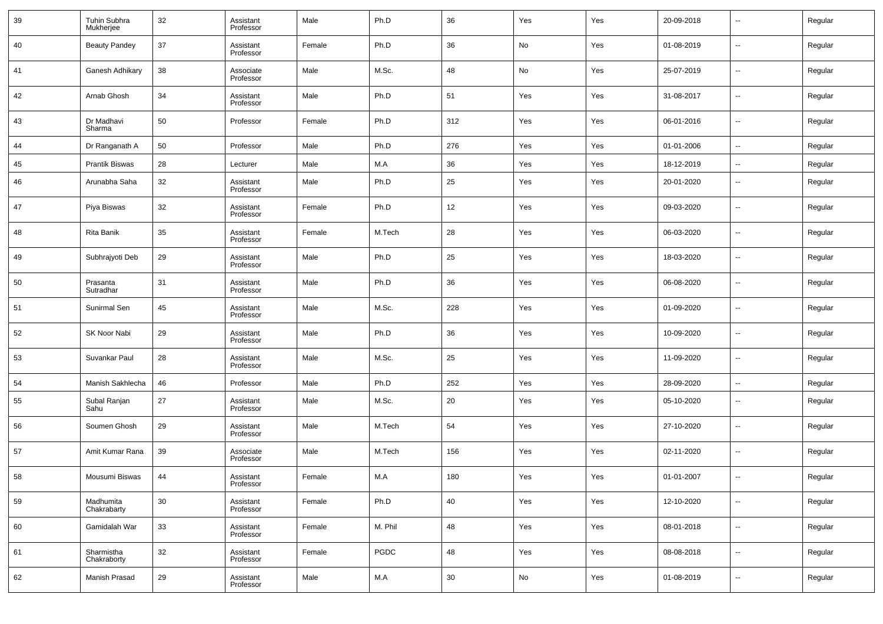| 39 | Tuhin Subhra<br>Mukherjee | 32 | Assistant<br>Professor | Male   | Ph.D    | 36  | Yes | Yes | 20-09-2018 | $\overline{\phantom{a}}$ | Regular |
|----|---------------------------|----|------------------------|--------|---------|-----|-----|-----|------------|--------------------------|---------|
| 40 | <b>Beauty Pandey</b>      | 37 | Assistant<br>Professor | Female | Ph.D    | 36  | No  | Yes | 01-08-2019 | $\overline{\phantom{a}}$ | Regular |
| 41 | Ganesh Adhikary           | 38 | Associate<br>Professor | Male   | M.Sc.   | 48  | No  | Yes | 25-07-2019 | $\sim$                   | Regular |
| 42 | Arnab Ghosh               | 34 | Assistant<br>Professor | Male   | Ph.D    | 51  | Yes | Yes | 31-08-2017 | $\overline{\phantom{a}}$ | Regular |
| 43 | Dr Madhavi<br>Sharma      | 50 | Professor              | Female | Ph.D    | 312 | Yes | Yes | 06-01-2016 | $\overline{\phantom{a}}$ | Regular |
| 44 | Dr Ranganath A            | 50 | Professor              | Male   | Ph.D    | 276 | Yes | Yes | 01-01-2006 | $\overline{\phantom{a}}$ | Regular |
| 45 | <b>Prantik Biswas</b>     | 28 | Lecturer               | Male   | M.A     | 36  | Yes | Yes | 18-12-2019 | $\overline{\phantom{a}}$ | Regular |
| 46 | Arunabha Saha             | 32 | Assistant<br>Professor | Male   | Ph.D    | 25  | Yes | Yes | 20-01-2020 | $\overline{\phantom{a}}$ | Regular |
| 47 | Piya Biswas               | 32 | Assistant<br>Professor | Female | Ph.D    | 12  | Yes | Yes | 09-03-2020 | $\overline{\phantom{a}}$ | Regular |
| 48 | Rita Banik                | 35 | Assistant<br>Professor | Female | M.Tech  | 28  | Yes | Yes | 06-03-2020 | $\overline{\phantom{a}}$ | Regular |
| 49 | Subhrajyoti Deb           | 29 | Assistant<br>Professor | Male   | Ph.D    | 25  | Yes | Yes | 18-03-2020 | $\overline{\phantom{a}}$ | Regular |
| 50 | Prasanta<br>Sutradhar     | 31 | Assistant<br>Professor | Male   | Ph.D    | 36  | Yes | Yes | 06-08-2020 | $\overline{\phantom{a}}$ | Regular |
| 51 | Sunirmal Sen              | 45 | Assistant<br>Professor | Male   | M.Sc.   | 228 | Yes | Yes | 01-09-2020 | $\overline{\phantom{a}}$ | Regular |
| 52 | SK Noor Nabi              | 29 | Assistant<br>Professor | Male   | Ph.D    | 36  | Yes | Yes | 10-09-2020 | $\overline{\phantom{a}}$ | Regular |
| 53 | Suvankar Paul             | 28 | Assistant<br>Professor | Male   | M.Sc.   | 25  | Yes | Yes | 11-09-2020 | $\overline{\phantom{a}}$ | Regular |
| 54 | Manish Sakhlecha          | 46 | Professor              | Male   | Ph.D    | 252 | Yes | Yes | 28-09-2020 | $\ddotsc$                | Regular |
| 55 | Subal Ranjan<br>Sahu      | 27 | Assistant<br>Professor | Male   | M.Sc.   | 20  | Yes | Yes | 05-10-2020 | $\overline{\phantom{a}}$ | Regular |
| 56 | Soumen Ghosh              | 29 | Assistant<br>Professor | Male   | M.Tech  | 54  | Yes | Yes | 27-10-2020 | $\overline{\phantom{a}}$ | Regular |
| 57 | Amit Kumar Rana           | 39 | Associate<br>Professor | Male   | M.Tech  | 156 | Yes | Yes | 02-11-2020 | $\overline{\phantom{a}}$ | Regular |
| 58 | Mousumi Biswas            | 44 | Assistant<br>Professor | Female | M.A     | 180 | Yes | Yes | 01-01-2007 | $\overline{\phantom{a}}$ | Regular |
| 59 | Madhumita<br>Chakrabarty  | 30 | Assistant<br>Professor | Female | Ph.D    | 40  | Yes | Yes | 12-10-2020 | $\sim$                   | Regular |
| 60 | Gamidalah War             | 33 | Assistant<br>Professor | Female | M. Phil | 48  | Yes | Yes | 08-01-2018 | $\sim$                   | Regular |
| 61 | Sharmistha<br>Chakraborty | 32 | Assistant<br>Professor | Female | PGDC    | 48  | Yes | Yes | 08-08-2018 | $\sim$                   | Regular |
| 62 | Manish Prasad             | 29 | Assistant<br>Professor | Male   | M.A     | 30  | No  | Yes | 01-08-2019 | $\sim$                   | Regular |